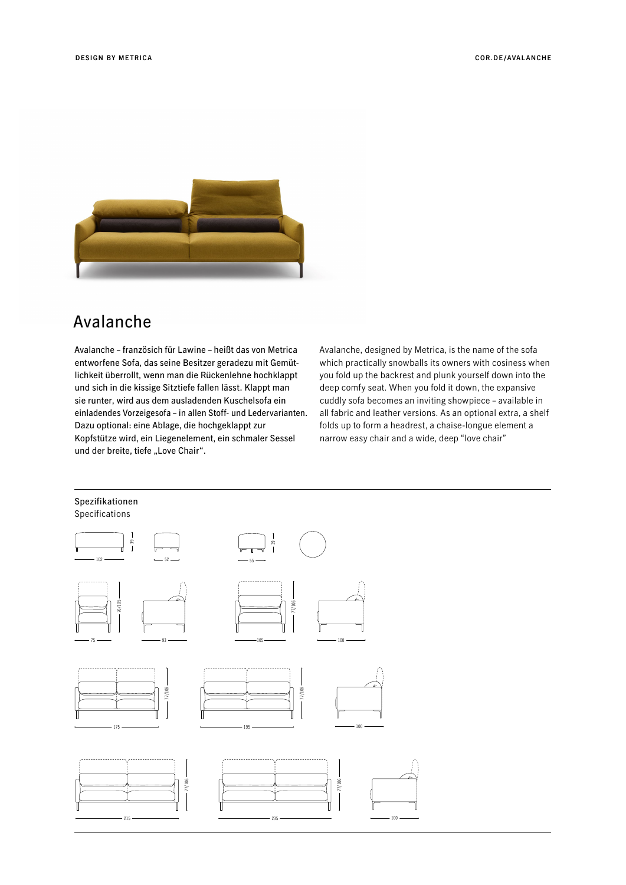

## Avalanche

Avalanche – französich für Lawine – heißt das von Metrica entworfene Sofa, das seine Besitzer geradezu mit Gemütlichkeit überrollt, wenn man die Rückenlehne hochklappt und sich in die kissige Sitztiefe fallen lässt. Klappt man sie runter, wird aus dem ausladenden Kuschelsofa ein einladendes Vorzeigesofa – in allen Stoff- und Ledervarianten. Dazu optional: eine Ablage, die hochgeklappt zur Kopfstütze wird, ein Liegenelement, ein schmaler Sessel und der breite, tiefe "Love Chair".

Avalanche, designed by Metrica, is the name of the sofa which practically snowballs its owners with cosiness when you fold up the backrest and plunk yourself down into the deep comfy seat. When you fold it down, the expansive cuddly sofa becomes an inviting showpiece – available in all fabric and leather versions. As an optional extra, a shelf folds up to form a headrest, a chaise-longue element a narrow easy chair and a wide, deep "love chair"